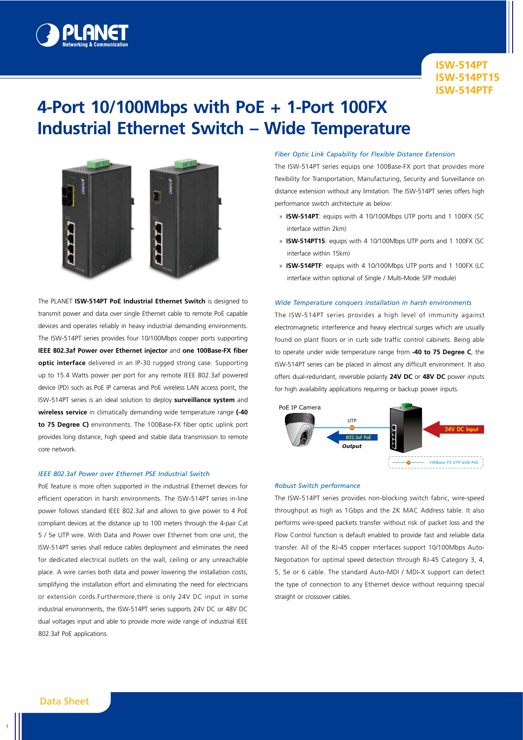

# **4-Port 10/100Mbps with PoE + 1-Port 100FX Industrial Ethernet Switch – Wide Temperature**



The PLANET **ISW-514PT PoE Industrial Ethernet Switch** is designed to transmit power and data over single Ethernet cable to remote PoE capable devices and operates reliably in heavy industrial demanding environments. The ISW-514PT series provides four 10/100Mbps copper ports supporting **IEEE 802.3af Power over Ethernet injector** and **one 100Base-FX fiber optic interface** delivered in an IP-30 rugged strong case. Supporting up to 15.4 Watts power per port for any remote IEEE 802.3af powered device (PD) such as PoE IP cameras and PoE wireless LAN access point, the ISW-514PT series is an ideal solution to deploy **surveillance system** and **wireless service** in climatically demanding wide temperature range **(-40 to 75 Degree C)** environments. The 100Base-FX fiber optic uplink port provides long distance, high speed and stable data transmission to remote core network.

#### *IEEE 802.3af Power over Ethernet PSE Industrial Switch*

PoE feature is more often supported in the industrial Ethernet devices for efficient operation in harsh environments. The ISW-514PT series in-line power follows standard IEEE 802.3af and allows to give power to 4 PoE compliant devices at the distance up to 100 meters through the 4-pair Cat 5 / 5e UTP wire. With Data and Power over Ethernet from one unit, the ISW-514PT series shall reduce cables deployment and eliminates the need for dedicated electrical outlets on the wall, ceiling or any unreachable place. A wire carries both data and power lowering the installation costs, simplifying the installation effort and eliminating the need for electricians or extension cords.Furthermore,there is only 24V DC input in some industrial environments, the ISW-514PT series supports 24V DC or 48V DC dual voltages input and able to provide more wide range of industrial IEEE 802.3af PoE applications.

#### *Fiber Optic Link Capability for Flexible Distance Extension*

The ISW-514PT series equips one 100Base-FX port that provides more flexibility for Transportation, Manufacturing, Security and Surveillance on distance extension without any limitation. The ISW-514PT series offers high performance switch architecture as below:

- » **ISW-514PT**: equips with 4 10/100Mbps UTP ports and 1 100FX (SC interface within 2km)
- » **ISW-514PT15**: equips with 4 10/100Mbps UTP ports and 1 100FX (SC interface within 15km)
- » **ISW-514PTF**: equips with 4 10/100Mbps UTP ports and 1 100FX (LC interface within optional of Single / Multi-Mode SFP module)

#### *Wide Temperature conquers installation in harsh environments*

The ISW-514PT series provides a high level of immunity against electromagnetic interference and heavy electrical surges which are usually found on plant floors or in curb side traffic control cabinets. Being able to operate under wide temperature range from **-40 to 75 Degree C**, the ISW-514PT series can be placed in almost any difficult environment. It also offers dual-redundant, reversible polarity **24V DC** or **48V DC** power inputs for high availability applications requiring or backup power inputs.



#### *Robust Switch performance*

The ISW-514PT series provides non-blocking switch fabric, wire-speed throughput as high as 1Gbps and the 2K MAC Address table. It also performs wire-speed packets transfer without risk of packet loss and the Flow Control function is default enabled to provide fast and reliable data transfer. All of the RJ-45 copper interfaces support 10/100Mbps Auto-Negotiation for optimal speed detection through RJ-45 Category 3, 4, 5, 5e or 6 cable. The standard Auto-MDI / MDI-X support can detect the type of connection to any Ethernet device without requiring special straight or crossover cables.

1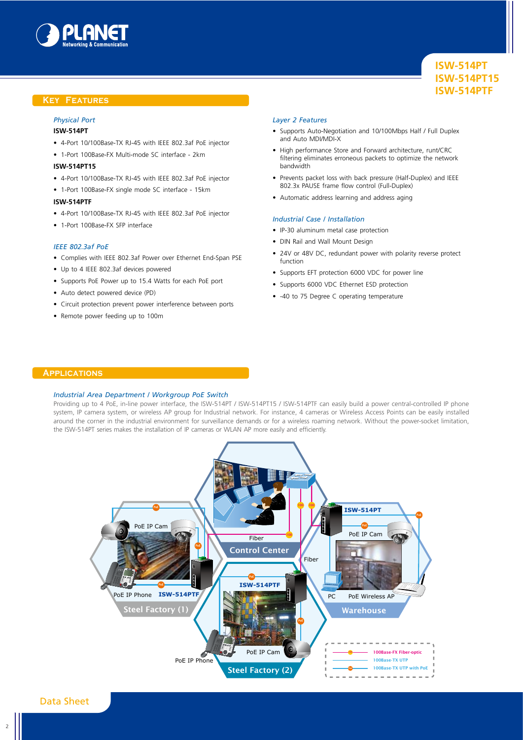

### **Key Features**

# *Physical Port*

# **ISW-514PT**

- 4-Port 10/100Base-TX RJ-45 with IEEE 802.3af PoE injector
- 1-Port 100Base-FX Multi-mode SC interface 2km

#### **ISW-514PT15**

- 4-Port 10/100Base-TX RJ-45 with IEEE 802.3af PoE injector
- 1-Port 100Base-FX single mode SC interface 15km

#### **ISW-514PTF**

- 4-Port 10/100Base-TX RJ-45 with IEEE 802.3af PoE injector
- 1-Port 100Base-FX SFP interface

#### *IEEE 802.3af PoE*

- Complies with IEEE 802.3af Power over Ethernet End-Span PSE
- Up to 4 IEEE 802.3af devices powered
- Supports PoE Power up to 15.4 Watts for each PoE port
- Auto detect powered device (PD)
- Circuit protection prevent power interference between ports
- Remote power feeding up to 100m

#### *Layer 2 Features*

- Supports Auto-Negotiation and 10/100Mbps Half / Full Duplex and Auto MDI/MDI-X
- High performance Store and Forward architecture, runt/CRC filtering eliminates erroneous packets to optimize the network bandwidth
- Prevents packet loss with back pressure (Half-Duplex) and IEEE 802.3x PAUSE frame flow control (Full-Duplex)
- Automatic address learning and address aging

#### *Industrial Case / Installation*

- IP-30 aluminum metal case protection
- DIN Rail and Wall Mount Design
- 24V or 48V DC, redundant power with polarity reverse protect function
- Supports EFT protection 6000 VDC for power line
- Supports 6000 VDC Ethernet ESD protection
- -40 to 75 Degree C operating temperature

### **Applications**

#### *Industrial Area Department / Workgroup PoE Switch*

Providing up to 4 PoE, in-line power interface, the ISW-514PT / ISW-514PT15 / ISW-514PTF can easily build a power central-controlled IP phone system, IP camera system, or wireless AP group for Industrial network. For instance, 4 cameras or Wireless Access Points can be easily installed around the corner in the industrial environment for surveillance demands or for a wireless roaming network. Without the power-socket limitation, the ISW-514PT series makes the installation of IP cameras or WLAN AP more easily and efficiently.

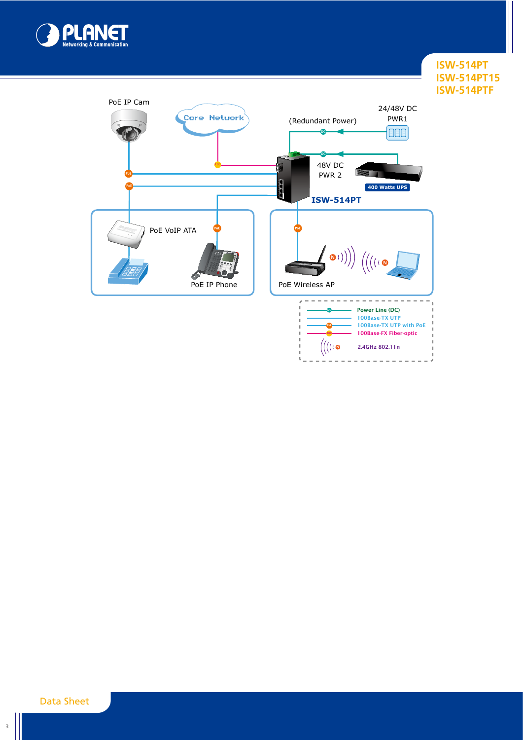



Data Sheet

3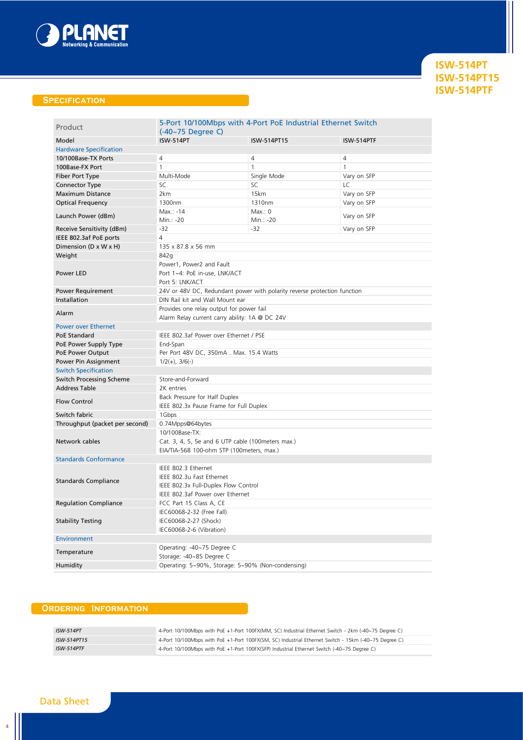

# **Specification**

| Product                         | 5-Port 10/100Mbps with 4-Port PoE Industrial Ethernet Switch<br>$(-40-75$ Degree C) |                      |                |  |
|---------------------------------|-------------------------------------------------------------------------------------|----------------------|----------------|--|
| Model                           | <b>ISW-514PT</b>                                                                    | ISW-514PT15          | ISW-514PTF     |  |
| <b>Hardware Specification</b>   |                                                                                     |                      |                |  |
| 10/100Base-TX Ports             | $\sqrt{4}$                                                                          | $\overline{4}$       | $\overline{4}$ |  |
| 100Base-FX Port                 | $\mathbf{1}$                                                                        | $\mathbf{1}$         | $\mathbf{1}$   |  |
| Fiber Port Type                 | Multi-Mode                                                                          | Single Mode          | Vary on SFP    |  |
| <b>Connector Type</b>           | SC                                                                                  | SC                   | LC             |  |
| <b>Maximum Distance</b>         | 2km                                                                                 | 15km                 | Vary on SFP    |  |
| <b>Optical Frequency</b>        | 1300nm                                                                              | 1310nm               | Vary on SFP    |  |
| Launch Power (dBm)              | Max.: -14<br>Min.: -20                                                              | Max.: 0<br>Min.: -20 | Vary on SFP    |  |
| Receive Sensitivity (dBm)       | $-32$                                                                               | $-32$                | Vary on SFP    |  |
| IEEE 802.3af PoE ports          | $\overline{4}$                                                                      |                      |                |  |
| Dimension (D x W x H)           | 135 x 87.8 x 56 mm                                                                  |                      |                |  |
| Weight                          | 842g                                                                                |                      |                |  |
|                                 | Power1, Power2 and Fault                                                            |                      |                |  |
| Power LED                       | Port 1~4: PoE in-use, LNK/ACT                                                       |                      |                |  |
|                                 | Port 5: LNK/ACT                                                                     |                      |                |  |
| <b>Power Requirement</b>        | 24V or 48V DC, Redundant power with polarity reverse protection function            |                      |                |  |
| Installation                    | DIN Rail kit and Wall Mount ear                                                     |                      |                |  |
| Alarm                           | Provides one relay output for power fail                                            |                      |                |  |
|                                 | Alarm Relay current carry ability: 1A @ DC 24V                                      |                      |                |  |
| <b>Power over Ethernet</b>      |                                                                                     |                      |                |  |
| <b>PoE Standard</b>             | IEEE 802.3af Power over Ethernet / PSE                                              |                      |                |  |
| PoE Power Supply Type           | End-Span                                                                            |                      |                |  |
| PoE Power Output                | Per Port 48V DC, 350mA. Max. 15.4 Watts                                             |                      |                |  |
| Power Pin Assignment            | $1/2(+)$ , $3/6(-)$                                                                 |                      |                |  |
| <b>Switch Specification</b>     |                                                                                     |                      |                |  |
| <b>Switch Processing Scheme</b> | Store-and-Forward                                                                   |                      |                |  |
| <b>Address Table</b>            | 2K entries                                                                          |                      |                |  |
| <b>Flow Control</b>             | Back Pressure for Half Duplex                                                       |                      |                |  |
|                                 | IEEE 802.3x Pause Frame for Full Duplex                                             |                      |                |  |
| Switch fabric                   | 1Gbps                                                                               |                      |                |  |
| Throughput (packet per second)  | 0.74Mpps@64bytes                                                                    |                      |                |  |
| Network cables                  | 10/100Base-TX:                                                                      |                      |                |  |
|                                 | Cat. 3, 4, 5, 5e and 6 UTP cable (100 meters max.)                                  |                      |                |  |
|                                 | EIA/TIA-568 100-ohm STP (100meters, max.)                                           |                      |                |  |
| <b>Standards Conformance</b>    |                                                                                     |                      |                |  |
|                                 | IEEE 802.3 Ethernet                                                                 |                      |                |  |
| <b>Standards Compliance</b>     | IEEE 802.3u Fast Ethernet                                                           |                      |                |  |
|                                 | IEEE 802.3x Full-Duplex Flow Control                                                |                      |                |  |
|                                 | IEEE 802.3af Power over Ethernet                                                    |                      |                |  |
| <b>Regulation Compliance</b>    | FCC Part 15 Class A, CE                                                             |                      |                |  |
| <b>Stability Testing</b>        | IEC60068-2-32 (Free Fall)                                                           |                      |                |  |
|                                 | IEC60068-2-27 (Shock)                                                               |                      |                |  |
|                                 | IEC60068-2-6 (Vibration)                                                            |                      |                |  |
| <b>Environment</b>              |                                                                                     |                      |                |  |
| Temperature                     | Operating: -40~75 Degree C<br>Storage: -40~85 Degree C                              |                      |                |  |
| Humidity                        | Operating: 5~90%, Storage: 5~90% (Non-condensing)                                   |                      |                |  |

# **Ordering Information**

| <b>ISW-514PT</b> | 4-Port 10/100Mbps with PoE +1-Port 100FX(MM, SC) Industrial Ethernet Switch - 2km (-40~75 Degree C)  |
|------------------|------------------------------------------------------------------------------------------------------|
| ISW-514PT15      | 4-Port 10/100Mbps with PoE +1-Port 100FX(SM, SC) Industrial Ethernet Switch - 15km (-40~75 Degree C) |
| ISW-514PTF       | 4-Port 10/100Mbps with PoE +1-Port 100FX(SFP) Industrial Ethernet Switch (-40~75 Degree C)           |

# Data Sheet